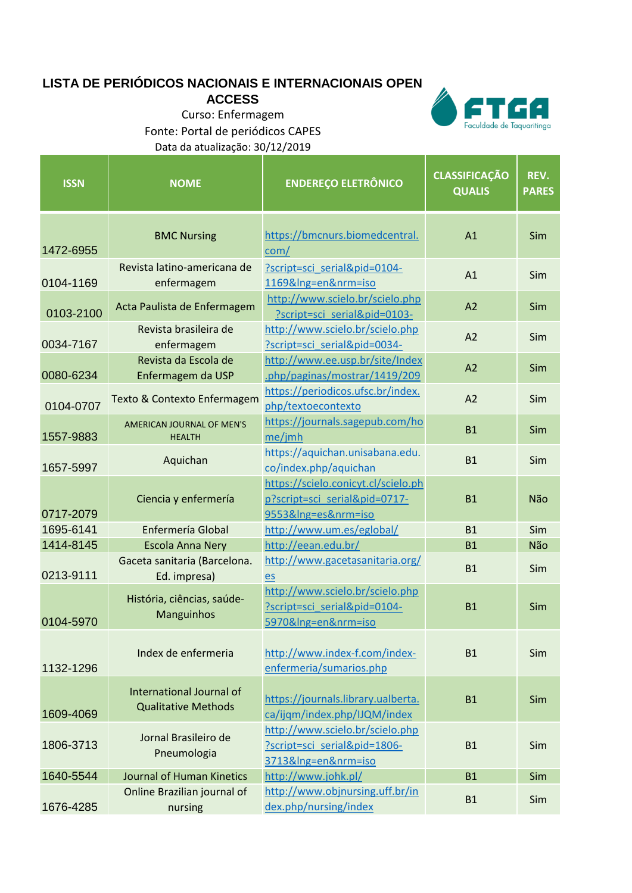## **LISTA DE PERIÓDICOS NACIONAIS E INTERNACIONAIS OPEN**

**ACCESS**

٠ п Faculdade de Taquaritinga

Curso: Enfermagem Fonte: Portal de periódicos CAPES Data da atualização: 30/12/2019

| <b>ISSN</b> | <b>NOME</b>                                                   | <b>ENDEREÇO ELETRÔNICO</b>                                                                  | <b>CLASSIFICAÇÃO</b><br><b>QUALIS</b> | REV.<br><b>PARES</b> |
|-------------|---------------------------------------------------------------|---------------------------------------------------------------------------------------------|---------------------------------------|----------------------|
| 1472-6955   | <b>BMC Nursing</b>                                            | https://bmcnurs.biomedcentral.<br>com/                                                      | A1                                    | <b>Sim</b>           |
| 0104-1169   | Revista latino-americana de<br>enfermagem                     | ?script=sci serial&pid=0104-<br>1169&Ing=en&nrm=iso                                         | A1                                    | Sim                  |
| 0103-2100   | Acta Paulista de Enfermagem                                   | http://www.scielo.br/scielo.php<br>?script=sci serial&pid=0103-                             | A <sub>2</sub>                        | Sim                  |
| 0034-7167   | Revista brasileira de<br>enfermagem                           | http://www.scielo.br/scielo.php<br>?script=sci serial&pid=0034-                             | A2                                    | Sim                  |
| 0080-6234   | Revista da Escola de<br>Enfermagem da USP                     | http://www.ee.usp.br/site/Index<br>.php/paginas/mostrar/1419/209                            | A <sub>2</sub>                        | Sim                  |
| 0104-0707   | Texto & Contexto Enfermagem                                   | https://periodicos.ufsc.br/index.<br>php/textoecontexto                                     | A <sub>2</sub>                        | Sim                  |
| 1557-9883   | <b>AMERICAN JOURNAL OF MEN'S</b><br><b>HEALTH</b>             | https://journals.sagepub.com/ho<br>me/jmh                                                   | <b>B1</b>                             | Sim                  |
| 1657-5997   | Aquichan                                                      | https://aquichan.unisabana.edu.<br>co/index.php/aquichan                                    | <b>B1</b>                             | <b>Sim</b>           |
| 0717-2079   | Ciencia y enfermería                                          | https://scielo.conicyt.cl/scielo.ph<br>p?script=sci_serial&pid=0717-<br>9553&Ing=es&nrm=iso | <b>B1</b>                             | Não                  |
| 1695-6141   | Enfermería Global                                             | http://www.um.es/eglobal/                                                                   | <b>B1</b>                             | Sim                  |
| 1414-8145   | <b>Escola Anna Nery</b>                                       | http://eean.edu.br/                                                                         | <b>B1</b>                             | Não                  |
| 0213-9111   | Gaceta sanitaria (Barcelona.<br>Ed. impresa)                  | http://www.gacetasanitaria.org/<br>es                                                       | <b>B1</b>                             | Sim                  |
| 0104-5970   | História, ciências, saúde-<br>Manguinhos                      | http://www.scielo.br/scielo.php<br>?script=sci_serial&pid=0104-<br>5970&Ing=en&nrm=iso      | <b>B1</b>                             | <b>Sim</b>           |
| 1132-1296   | Index de enfermeria                                           | http://www.index-f.com/index-<br>enfermeria/sumarios.php                                    | <b>B1</b>                             | Sim                  |
| 1609-4069   | <b>International Journal of</b><br><b>Qualitative Methods</b> | https://journals.library.ualberta.<br>ca/ijqm/index.php/IJQM/index                          | <b>B1</b>                             | Sim                  |
| 1806-3713   | Jornal Brasileiro de<br>Pneumologia                           | http://www.scielo.br/scielo.php<br>?script=sci_serial&pid=1806-<br>3713&Ing=en&nrm=iso      | <b>B1</b>                             | Sim                  |
| 1640-5544   | Journal of Human Kinetics                                     | http://www.johk.pl/                                                                         | <b>B1</b>                             | Sim                  |
| 1676-4285   | Online Brazilian journal of<br>nursing                        | http://www.objnursing.uff.br/in<br>dex.php/nursing/index                                    | <b>B1</b>                             | Sim                  |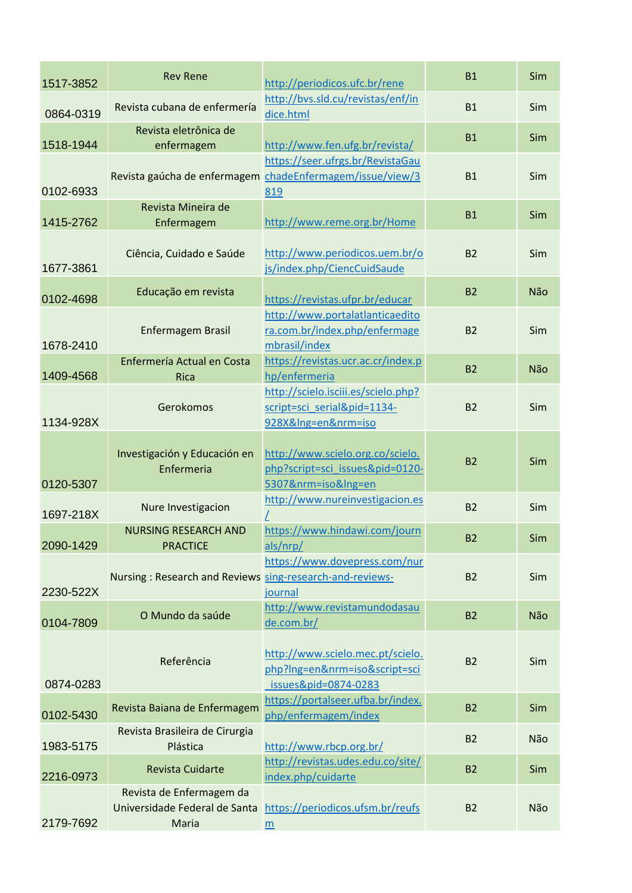| 1517-3852 | <b>Rev Rene</b>                                                    | http://periodicos.ufc.br/rene                                                                        | <b>B1</b>      | Sim |
|-----------|--------------------------------------------------------------------|------------------------------------------------------------------------------------------------------|----------------|-----|
| 0864-0319 | Revista cubana de enfermería                                       | http://bvs.sld.cu/revistas/enf/in<br>dice.html                                                       | <b>B1</b>      | Sim |
| 1518-1944 | Revista eletrônica de<br>enfermagem                                | http://www.fen.ufg.br/revista/                                                                       | <b>B1</b>      | Sim |
| 0102-6933 |                                                                    | https://seer.ufrgs.br/RevistaGau<br>Revista gaúcha de enfermagem chadeEnfermagem/issue/view/3<br>819 | <b>B1</b>      | Sim |
| 1415-2762 | Revista Mineira de<br>Enfermagem                                   | http://www.reme.org.br/Home                                                                          | <b>B1</b>      | Sim |
| 1677-3861 | Ciência, Cuidado e Saúde                                           | http://www.periodicos.uem.br/o<br>js/index.php/CiencCuidSaude                                        | <b>B2</b>      | Sim |
| 0102-4698 | Educação em revista                                                | https://revistas.ufpr.br/educar                                                                      | <b>B2</b>      | Não |
| 1678-2410 | <b>Enfermagem Brasil</b>                                           | http://www.portalatlanticaedito<br>ra.com.br/index.php/enfermage<br>mbrasil/index                    | <b>B2</b>      | Sim |
| 1409-4568 | Enfermería Actual en Costa<br><b>Rica</b>                          | https://revistas.ucr.ac.cr/index.p<br>hp/enfermeria                                                  | <b>B2</b>      | Não |
| 1134-928X | Gerokomos                                                          | http://scielo.isciii.es/scielo.php?<br>script=sci_serial&pid=1134-<br>928X&Ing=en&nrm=iso            | <b>B2</b>      | Sim |
| 0120-5307 | Investigación y Educación en<br>Enfermeria                         | http://www.scielo.org.co/scielo.<br>php?script=sci_issues&pid=0120-<br>5307&nrm=iso&Ing=en           | <b>B2</b>      | Sim |
| 1697-218X | Nure Investigacion                                                 | http://www.nureinvestigacion.es                                                                      | <b>B2</b>      | Sim |
| 2090-1429 | <b>NURSING RESEARCH AND</b><br><b>PRACTICE</b>                     | https://www.hindawi.com/journ<br>als/nrp/                                                            | B <sub>2</sub> | Sim |
| 2230-522X | Nursing: Research and Reviews sing-research-and-reviews-           | https://www.dovepress.com/nur<br>journal                                                             | <b>B2</b>      | Sim |
| 0104-7809 | O Mundo da saúde                                                   | http://www.revistamundodasau<br>de.com.br/                                                           | <b>B2</b>      | Não |
| 0874-0283 | Referência                                                         | http://www.scielo.mec.pt/scielo.<br>php?Ing=en&nrm=iso&script=sci<br>issues&pid=0874-0283            | <b>B2</b>      | Sim |
| 0102-5430 | Revista Baiana de Enfermagem                                       | https://portalseer.ufba.br/index.<br>php/enfermagem/index                                            | <b>B2</b>      | Sim |
| 1983-5175 | Revista Brasileira de Cirurgia<br>Plástica                         | http://www.rbcp.org.br/                                                                              | <b>B2</b>      | Não |
| 2216-0973 | <b>Revista Cuidarte</b>                                            | http://revistas.udes.edu.co/site/<br>index.php/cuidarte                                              | <b>B2</b>      | Sim |
| 2179-7692 | Revista de Enfermagem da<br>Universidade Federal de Santa<br>Maria | https://periodicos.ufsm.br/reufs<br>m                                                                | <b>B2</b>      | Não |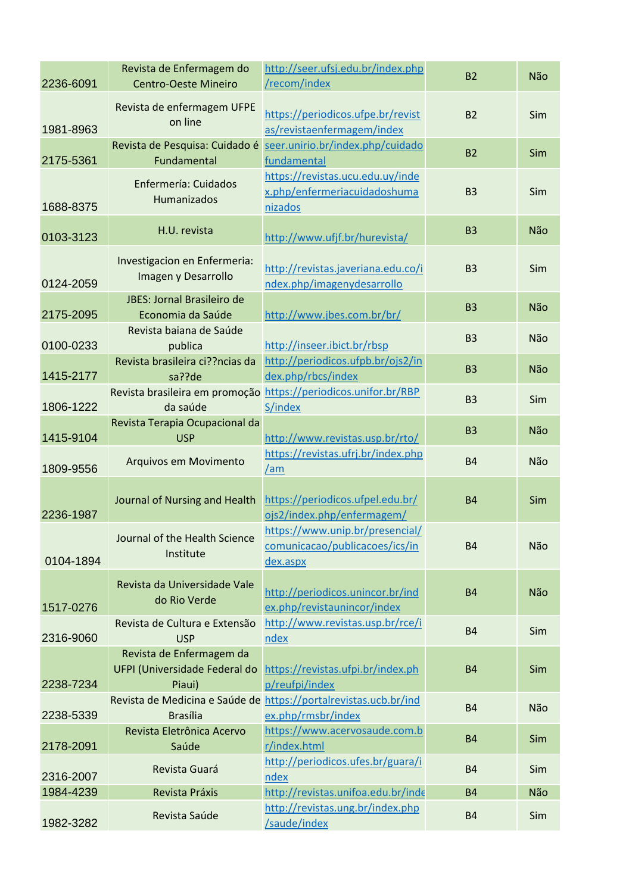| 2236-6091 | Revista de Enfermagem do<br><b>Centro-Oeste Mineiro</b> | http://seer.ufsj.edu.br/index.php<br>/recom/index                                      | <b>B2</b> | Não |
|-----------|---------------------------------------------------------|----------------------------------------------------------------------------------------|-----------|-----|
| 1981-8963 | Revista de enfermagem UFPE<br>on line                   | https://periodicos.ufpe.br/revist<br>as/revistaenfermagem/index                        | <b>B2</b> | Sim |
| 2175-5361 | Fundamental                                             | Revista de Pesquisa: Cuidado é seer.unirio.br/index.php/cuidado<br>fundamental         | <b>B2</b> | Sim |
| 1688-8375 | Enfermería: Cuidados<br>Humanizados                     | https://revistas.ucu.edu.uy/inde<br>x.php/enfermeriacuidadoshuma<br>nizados            | <b>B3</b> | Sim |
| 0103-3123 | H.U. revista                                            | http://www.ufjf.br/hurevista/                                                          | <b>B3</b> | Não |
| 0124-2059 | Investigacion en Enfermeria:<br>Imagen y Desarrollo     | http://revistas.javeriana.edu.co/i<br>ndex.php/imagenydesarrollo                       | <b>B3</b> | Sim |
| 2175-2095 | JBES: Jornal Brasileiro de<br>Economia da Saúde         | http://www.jbes.com.br/br/                                                             | <b>B3</b> | Não |
| 0100-0233 | Revista baiana de Saúde<br>publica                      | http://inseer.ibict.br/rbsp                                                            | <b>B3</b> | Não |
| 1415-2177 | Revista brasileira ci??ncias da<br>sa??de               | http://periodicos.ufpb.br/ojs2/in<br>dex.php/rbcs/index                                | <b>B3</b> | Não |
| 1806-1222 | da saúde                                                | Revista brasileira em promoção https://periodicos.unifor.br/RBP<br>S/index             | <b>B3</b> | Sim |
| 1415-9104 | Revista Terapia Ocupacional da<br><b>USP</b>            | http://www.revistas.usp.br/rto/                                                        | <b>B3</b> | Não |
| 1809-9556 | Arquivos em Movimento                                   | https://revistas.ufrj.br/index.php<br>$\sqrt{am}$                                      | <b>B4</b> | Não |
| 2236-1987 | Journal of Nursing and Health                           | https://periodicos.ufpel.edu.br/<br>ojs2/index.php/enfermagem/                         | <b>B4</b> | Sim |
| 0104-1894 | Journal of the Health Science<br>Institute              | https://www.unip.br/presencial/<br>comunicacao/publicacoes/ics/in<br>dex.aspx          | <b>B4</b> | Não |
| 1517-0276 | Revista da Universidade Vale<br>do Rio Verde            | http://periodicos.unincor.br/ind<br>ex.php/revistaunincor/index                        | <b>B4</b> | Não |
| 2316-9060 | Revista de Cultura e Extensão<br><b>USP</b>             | http://www.revistas.usp.br/rce/i<br>ndex                                               | <b>B4</b> | Sim |
| 2238-7234 | Revista de Enfermagem da<br>Piaui)                      | UFPI (Universidade Federal do https://revistas.ufpi.br/index.ph<br>p/reufpi/index      | <b>B4</b> | Sim |
| 2238-5339 | <b>Brasília</b>                                         | Revista de Medicina e Saúde de https://portalrevistas.ucb.br/ind<br>ex.php/rmsbr/index | <b>B4</b> | Não |
| 2178-2091 | Revista Eletrônica Acervo<br>Saúde                      | https://www.acervosaude.com.b<br>r/index.html                                          | <b>B4</b> | Sim |
| 2316-2007 | Revista Guará                                           | http://periodicos.ufes.br/guara/i<br>ndex                                              | <b>B4</b> | Sim |
| 1984-4239 | Revista Práxis                                          | http://revistas.unifoa.edu.br/inde                                                     | <b>B4</b> | Não |
| 1982-3282 | Revista Saúde                                           | http://revistas.ung.br/index.php<br>/saude/index                                       | <b>B4</b> | Sim |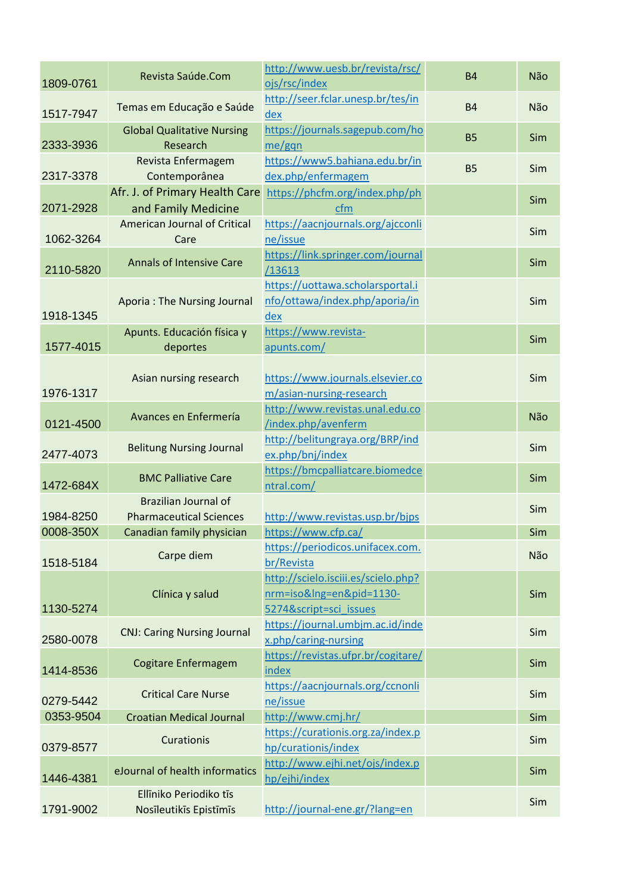| 1809-0761 | Revista Saúde.Com                  | http://www.uesb.br/revista/rsc/<br>ojs/rsc/index | <b>B4</b> | Não |
|-----------|------------------------------------|--------------------------------------------------|-----------|-----|
|           |                                    | http://seer.fclar.unesp.br/tes/in                |           |     |
| 1517-7947 | Temas em Educação e Saúde          | dex                                              | <b>B4</b> | Não |
|           | <b>Global Qualitative Nursing</b>  | https://journals.sagepub.com/ho                  | <b>B5</b> | Sim |
| 2333-3936 | Research                           | me/gqn                                           |           |     |
|           | Revista Enfermagem                 | https://www5.bahiana.edu.br/in                   | <b>B5</b> | Sim |
| 2317-3378 | Contemporânea                      | dex.php/enfermagem                               |           |     |
|           | Afr. J. of Primary Health Care     | https://phcfm.org/index.php/ph                   |           | Sim |
| 2071-2928 | and Family Medicine                | cfm                                              |           |     |
|           | American Journal of Critical       | https://aacnjournals.org/ajcconli                |           | Sim |
| 1062-3264 | Care                               | ne/issue                                         |           |     |
|           | <b>Annals of Intensive Care</b>    | https://link.springer.com/journal                |           | Sim |
| 2110-5820 |                                    | /13613                                           |           |     |
|           |                                    | https://uottawa.scholarsportal.i                 |           |     |
|           | <b>Aporia: The Nursing Journal</b> | nfo/ottawa/index.php/aporia/in                   |           | Sim |
| 1918-1345 |                                    | dex                                              |           |     |
|           | Apunts. Educación física y         | https://www.revista-                             |           |     |
| 1577-4015 | deportes                           | apunts.com/                                      |           | Sim |
|           |                                    |                                                  |           |     |
|           | Asian nursing research             | https://www.journals.elsevier.co                 |           | Sim |
| 1976-1317 |                                    | m/asian-nursing-research                         |           |     |
|           |                                    | http://www.revistas.unal.edu.co                  |           |     |
| 0121-4500 | Avances en Enfermería              | /index.php/avenferm                              |           | Não |
|           |                                    | http://belitungraya.org/BRP/ind                  |           |     |
| 2477-4073 | <b>Belitung Nursing Journal</b>    | ex.php/bnj/index                                 |           | Sim |
|           |                                    | https://bmcpalliatcare.biomedce                  |           |     |
| 1472-684X | <b>BMC Palliative Care</b>         | ntral.com/                                       |           | Sim |
|           | <b>Brazilian Journal of</b>        |                                                  |           |     |
| 1984-8250 | <b>Pharmaceutical Sciences</b>     | http://www.revistas.usp.br/bjps                  |           | Sim |
| 0008-350X | Canadian family physician          | https://www.cfp.ca/                              |           | Sim |
|           |                                    | https://periodicos.unifacex.com.                 |           |     |
| 1518-5184 | Carpe diem                         | br/Revista                                       |           | Não |
|           |                                    | http://scielo.isciii.es/scielo.php?              |           |     |
|           | Clínica y salud                    | nrm=iso&Ing=en&pid=1130-                         |           | Sim |
| 1130-5274 |                                    | 5274&script=sci issues                           |           |     |
|           |                                    | https://journal.umbjm.ac.id/inde                 |           |     |
| 2580-0078 | <b>CNJ: Caring Nursing Journal</b> | x.php/caring-nursing                             |           | Sim |
|           |                                    | https://revistas.ufpr.br/cogitare/               |           |     |
| 1414-8536 | Cogitare Enfermagem                | index                                            |           | Sim |
|           |                                    | https://aacnjournals.org/ccnonli                 |           |     |
| 0279-5442 | <b>Critical Care Nurse</b>         | ne/issue                                         |           | Sim |
| 0353-9504 | <b>Croatian Medical Journal</b>    | http://www.cmj.hr/                               |           | Sim |
|           |                                    | https://curationis.org.za/index.p                |           |     |
| 0379-8577 | Curationis                         | hp/curationis/index                              |           | Sim |
|           |                                    |                                                  |           |     |
| 1446-4381 | eJournal of health informatics     | http://www.ejhi.net/ojs/index.p                  |           | Sim |
|           |                                    | hp/ejhi/index                                    |           |     |
|           | Ellīniko Periodiko tīs             |                                                  |           | Sim |
| 1791-9002 | Nosīleutikīs Epistīmīs             | http://journal-ene.gr/?lang=en                   |           |     |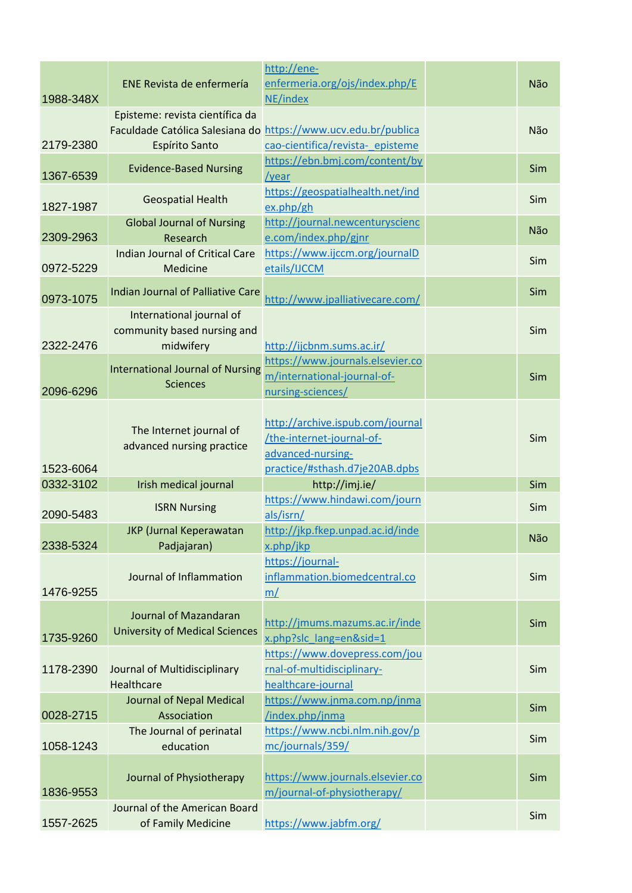| 1988-348X | ENE Revista de enfermería                                            | http://ene-<br>enfermeria.org/ojs/index.php/E<br>NE/index                                          | Não |
|-----------|----------------------------------------------------------------------|----------------------------------------------------------------------------------------------------|-----|
| 2179-2380 | Episteme: revista científica da<br>Espírito Santo                    | Faculdade Católica Salesiana do https://www.ucv.edu.br/publica<br>cao-cientifica/revista- episteme | Não |
| 1367-6539 | <b>Evidence-Based Nursing</b>                                        | https://ebn.bmj.com/content/by<br>/year                                                            | Sim |
| 1827-1987 | <b>Geospatial Health</b>                                             | https://geospatialhealth.net/ind<br>ex.php/gh                                                      | Sim |
| 2309-2963 | <b>Global Journal of Nursing</b><br>Research                         | http://journal.newcenturyscienc<br>e.com/index.php/gjnr                                            | Não |
| 0972-5229 | Indian Journal of Critical Care<br>Medicine                          | https://www.ijccm.org/journalD<br>etails/IJCCM                                                     | Sim |
| 0973-1075 | Indian Journal of Palliative Care                                    | http://www.jpalliativecare.com/                                                                    | Sim |
| 2322-2476 | International journal of<br>community based nursing and<br>midwifery | http://ijcbnm.sums.ac.ir/                                                                          | Sim |
| 2096-6296 | <b>International Journal of Nursing</b><br><b>Sciences</b>           | https://www.journals.elsevier.co<br>m/international-journal-of-<br>nursing-sciences/               | Sim |
|           | The Internet journal of<br>advanced nursing practice                 | http://archive.ispub.com/journal<br>/the-internet-journal-of-                                      | Sim |
| 1523-6064 |                                                                      | advanced-nursing-<br>practice/#sthash.d7je20AB.dpbs                                                |     |
| 0332-3102 | Irish medical journal                                                | http://imj.ie/                                                                                     | Sim |
| 2090-5483 | <b>ISRN Nursing</b>                                                  | https://www.hindawi.com/journ<br>als/isrn/                                                         | Sim |
| 2338-5324 | <b>JKP</b> (Jurnal Keperawatan<br>Padjajaran)                        | http://jkp.fkep.unpad.ac.id/inde<br>x.php/jkp                                                      | Não |
| 1476-9255 | Journal of Inflammation                                              | https://journal-<br>inflammation.biomedcentral.co<br>m/                                            | Sim |
| 1735-9260 | Journal of Mazandaran<br><b>University of Medical Sciences</b>       | http://jmums.mazums.ac.ir/inde<br>x.php?slc_lang=en&sid=1                                          | Sim |
| 1178-2390 | Journal of Multidisciplinary<br>Healthcare                           | https://www.dovepress.com/jou<br>rnal-of-multidisciplinary-<br>healthcare-journal                  | Sim |
|           | Journal of Nepal Medical                                             | https://www.jnma.com.np/jnma                                                                       | Sim |
| 0028-2715 | Association                                                          | /index.php/jnma                                                                                    |     |
| 1058-1243 | The Journal of perinatal<br>education                                | https://www.ncbi.nlm.nih.gov/p<br>mc/journals/359/                                                 | Sim |
| 1836-9553 | Journal of Physiotherapy                                             | https://www.journals.elsevier.co<br>m/journal-of-physiotherapy/                                    | Sim |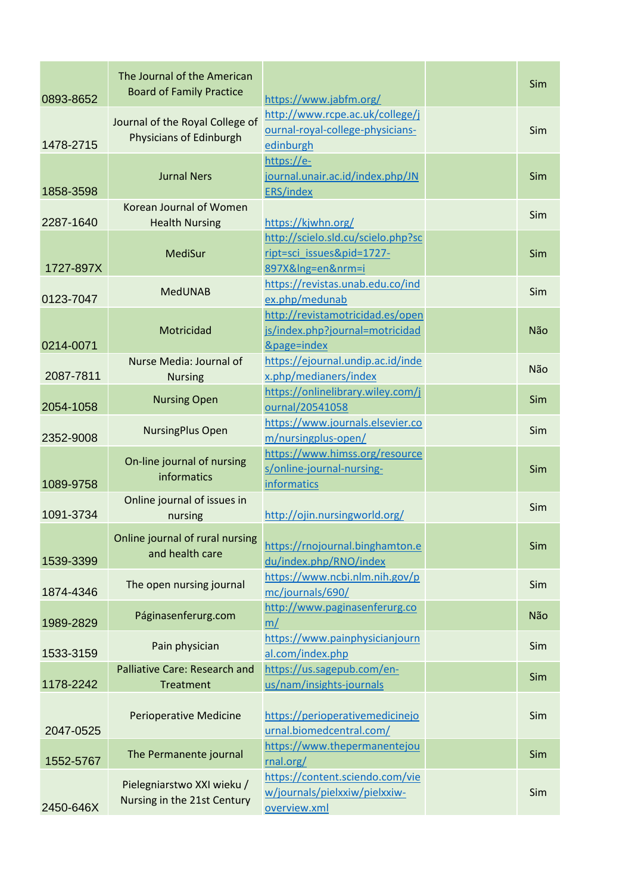| 0893-8652 | The Journal of the American<br><b>Board of Family Practice</b>    | https://www.jabfm.org/                                                               | Sim |
|-----------|-------------------------------------------------------------------|--------------------------------------------------------------------------------------|-----|
| 1478-2715 | Journal of the Royal College of<br><b>Physicians of Edinburgh</b> | http://www.rcpe.ac.uk/college/j<br>ournal-royal-college-physicians-<br>edinburgh     | Sim |
| 1858-3598 | <b>Jurnal Ners</b>                                                | https://e-<br>journal.unair.ac.id/index.php/JN<br><b>ERS/index</b>                   | Sim |
| 2287-1640 | Korean Journal of Women<br><b>Health Nursing</b>                  | https://kjwhn.org/                                                                   | Sim |
| 1727-897X | <b>MediSur</b>                                                    | http://scielo.sld.cu/scielo.php?sc<br>ript=sci_issues&pid=1727-<br>897X&Ing=en&nrm=i | Sim |
| 0123-7047 | <b>MedUNAB</b>                                                    | https://revistas.unab.edu.co/ind<br>ex.php/medunab                                   | Sim |
| 0214-0071 | Motricidad                                                        | http://revistamotricidad.es/open<br>js/index.php?journal=motricidad<br>&page=index   | Não |
| 2087-7811 | Nurse Media: Journal of<br><b>Nursing</b>                         | https://ejournal.undip.ac.id/inde<br>x.php/medianers/index                           | Não |
| 2054-1058 | <b>Nursing Open</b>                                               | https://onlinelibrary.wiley.com/j<br>ournal/20541058                                 | Sim |
| 2352-9008 | <b>NursingPlus Open</b>                                           | https://www.journals.elsevier.co<br>m/nursingplus-open/                              | Sim |
| 1089-9758 | On-line journal of nursing<br>informatics                         | https://www.himss.org/resource<br>s/online-journal-nursing-<br>informatics           | Sim |
| 1091-3734 | Online journal of issues in<br>nursing                            | http://ojin.nursingworld.org/                                                        | Sim |
| 1539-3399 | Online journal of rural nursing<br>and health care                | https://rnojournal.binghamton.e<br>du/index.php/RNO/index                            | Sim |
| 1874-4346 | The open nursing journal                                          | https://www.ncbi.nlm.nih.gov/p<br>mc/journals/690/                                   | Sim |
| 1989-2829 | Páginasenferurg.com                                               | http://www.paginasenferurg.co<br>m/                                                  | Não |
| 1533-3159 | Pain physician                                                    | https://www.painphysicianjourn<br>al.com/index.php                                   | Sim |
| 1178-2242 | <b>Palliative Care: Research and</b><br><b>Treatment</b>          | https://us.sagepub.com/en-<br>us/nam/insights-journals                               | Sim |
| 2047-0525 | <b>Perioperative Medicine</b>                                     | https://perioperativemedicinejo<br>urnal.biomedcentral.com/                          | Sim |
| 1552-5767 | The Permanente journal                                            | https://www.thepermanentejou<br>rnal.org/                                            | Sim |
| 2450-646X | Pielegniarstwo XXI wieku /<br>Nursing in the 21st Century         | https://content.sciendo.com/vie<br>w/journals/pielxxiw/pielxxiw-<br>overview.xml     | Sim |